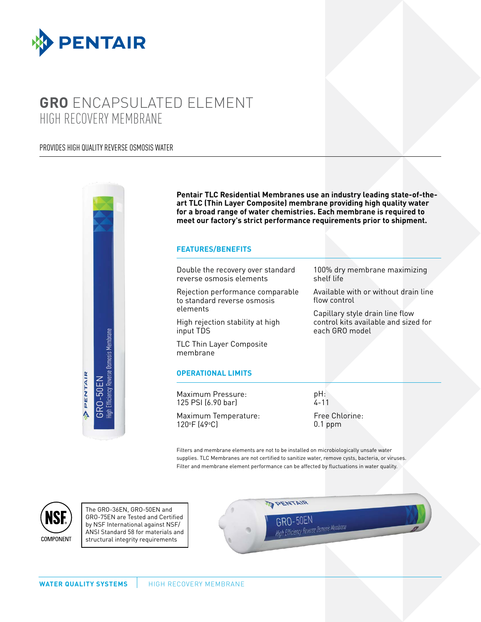

# **GRO** ENCAPSULATED ELEMENT HIGH RECOVERY MEMBRANE

## PROVIDES HIGH QUALITY REVERSE OSMOSIS WATER



**Pentair TLC Residential Membranes use an industry leading state-of-theart TLC (Thin Layer Composite) membrane providing high quality water for a broad range of water chemistries. Each membrane is required to meet our factory's strict performance requirements prior to shipment.**

#### **FEATURES/BENEFITS**

Double the recovery over standard reverse osmosis elements

Rejection performance comparable to standard reverse osmosis elements

High rejection stability at high input TDS

TLC Thin Layer Composite membrane

### **OPERATIONAL LIMITS**

Maximum Pressure: 125 PSI (6.90 bar)

Maximum Temperature: 120o F (49o C)

Available with or without drain line flow control

100% dry membrane maximizing

Capillary style drain line flow control kits available and sized for each GRO model

Filters and membrane elements are not to be installed on microbiologically unsafe water supplies. TLC Membranes are not certified to sanitize water, remove cysts, bacteria, or viruses. Filter and membrane element performance can be affected by fluctuations in water quality.

pH: .<br>4 - 11

shelf life

Free Chlorine: 0.1 ppm



The GRO-36EN, GRO-50EN and GRO-75EN are Tested and Certified by NSF International against NSF/ ANSI Standard 58 for materials and structural integrity requirements